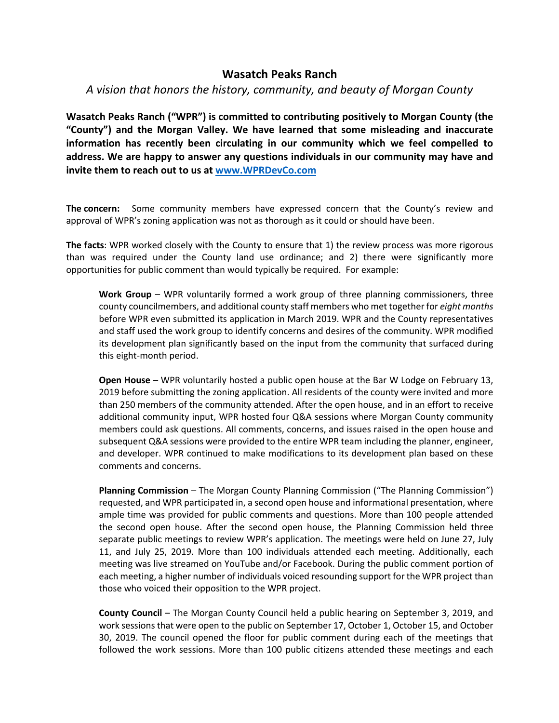## **Wasatch Peaks Ranch**

## *A vision that honors the history, community, and beauty of Morgan County*

**Wasatch Peaks Ranch ("WPR") is committed to contributing positively to Morgan County (the "County") and the Morgan Valley. We have learned that some misleading and inaccurate information has recently been circulating in our community which we feel compelled to address. We are happy to answer any questions individuals in our community may have and invite them to reach out to us at www.WPRDevCo.com**

**The concern:** Some community members have expressed concern that the County's review and approval of WPR's zoning application was not as thorough as it could or should have been.

**The facts**: WPR worked closely with the County to ensure that 1) the review process was more rigorous than was required under the County land use ordinance; and 2) there were significantly more opportunities for public comment than would typically be required. For example:

**Work Group** – WPR voluntarily formed a work group of three planning commissioners, three county councilmembers, and additional county staff members who met together for *eight months* before WPR even submitted its application in March 2019. WPR and the County representatives and staff used the work group to identify concerns and desires of the community. WPR modified its development plan significantly based on the input from the community that surfaced during this eight-month period.

**Open House** – WPR voluntarily hosted a public open house at the Bar W Lodge on February 13, 2019 before submitting the zoning application. All residents of the county were invited and more than 250 members of the community attended. After the open house, and in an effort to receive additional community input, WPR hosted four Q&A sessions where Morgan County community members could ask questions. All comments, concerns, and issues raised in the open house and subsequent Q&A sessions were provided to the entire WPR team including the planner, engineer, and developer. WPR continued to make modifications to its development plan based on these comments and concerns.

**Planning Commission** – The Morgan County Planning Commission ("The Planning Commission") requested, and WPR participated in, a second open house and informational presentation, where ample time was provided for public comments and questions. More than 100 people attended the second open house. After the second open house, the Planning Commission held three separate public meetings to review WPR's application. The meetings were held on June 27, July 11, and July 25, 2019. More than 100 individuals attended each meeting. Additionally, each meeting was live streamed on YouTube and/or Facebook. During the public comment portion of each meeting, a higher number of individuals voiced resounding support for the WPR project than those who voiced their opposition to the WPR project.

**County Council** – The Morgan County Council held a public hearing on September 3, 2019, and work sessions that were open to the public on September 17, October 1, October 15, and October 30, 2019. The council opened the floor for public comment during each of the meetings that followed the work sessions. More than 100 public citizens attended these meetings and each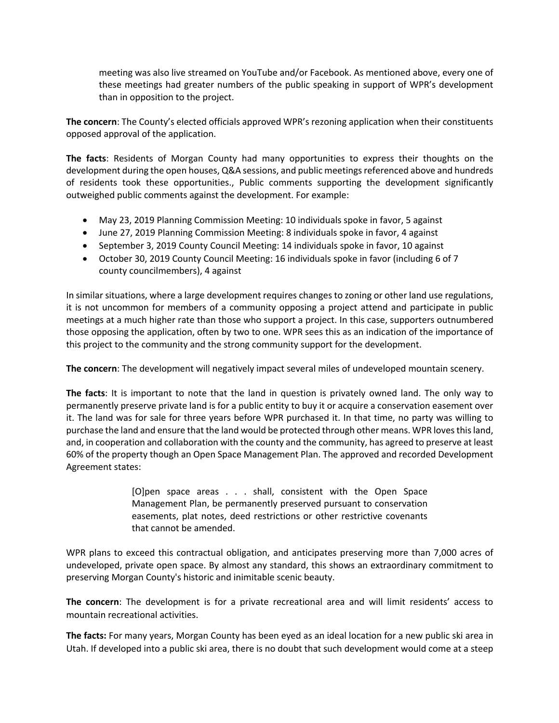meeting was also live streamed on YouTube and/or Facebook. As mentioned above, every one of these meetings had greater numbers of the public speaking in support of WPR's development than in opposition to the project.

**The concern**: The County's elected officials approved WPR's rezoning application when their constituents opposed approval of the application.

**The facts**: Residents of Morgan County had many opportunities to express their thoughts on the development during the open houses, Q&A sessions, and public meetings referenced above and hundreds of residents took these opportunities., Public comments supporting the development significantly outweighed public comments against the development. For example:

- May 23, 2019 Planning Commission Meeting: 10 individuals spoke in favor, 5 against
- June 27, 2019 Planning Commission Meeting: 8 individuals spoke in favor, 4 against
- September 3, 2019 County Council Meeting: 14 individuals spoke in favor, 10 against
- October 30, 2019 County Council Meeting: 16 individuals spoke in favor (including 6 of 7 county councilmembers), 4 against

In similar situations, where a large development requires changes to zoning or other land use regulations, it is not uncommon for members of a community opposing a project attend and participate in public meetings at a much higher rate than those who support a project. In this case, supporters outnumbered those opposing the application, often by two to one. WPR sees this as an indication of the importance of this project to the community and the strong community support for the development.

**The concern**: The development will negatively impact several miles of undeveloped mountain scenery.

**The facts**: It is important to note that the land in question is privately owned land. The only way to permanently preserve private land is for a public entity to buy it or acquire a conservation easement over it. The land was for sale for three years before WPR purchased it. In that time, no party was willing to purchase the land and ensure that the land would be protected through other means. WPR loves this land, and, in cooperation and collaboration with the county and the community, has agreed to preserve at least 60% of the property though an Open Space Management Plan. The approved and recorded Development Agreement states:

> [O]pen space areas . . . shall, consistent with the Open Space Management Plan, be permanently preserved pursuant to conservation easements, plat notes, deed restrictions or other restrictive covenants that cannot be amended.

WPR plans to exceed this contractual obligation, and anticipates preserving more than 7,000 acres of undeveloped, private open space. By almost any standard, this shows an extraordinary commitment to preserving Morgan County's historic and inimitable scenic beauty.

**The concern**: The development is for a private recreational area and will limit residents' access to mountain recreational activities.

**The facts:** For many years, Morgan County has been eyed as an ideal location for a new public ski area in Utah. If developed into a public ski area, there is no doubt that such development would come at a steep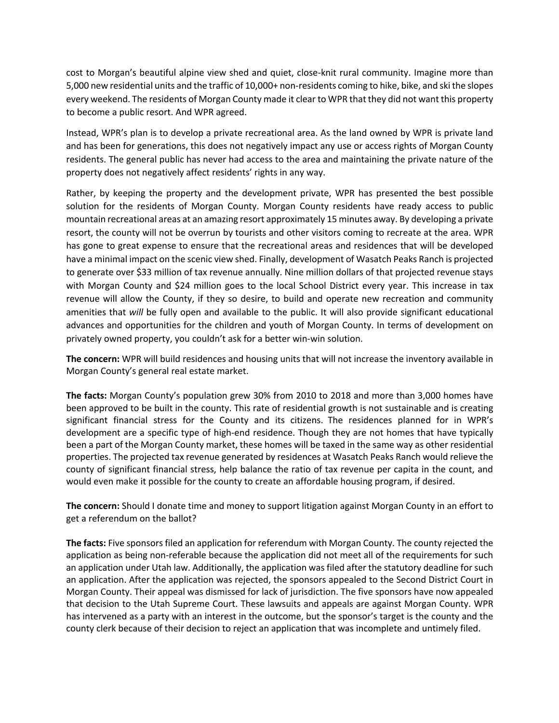cost to Morgan's beautiful alpine view shed and quiet, close-knit rural community. Imagine more than 5,000 new residential units and the traffic of 10,000+ non-residents coming to hike, bike, and ski the slopes every weekend. The residents of Morgan County made it clear to WPR that they did not want this property to become a public resort. And WPR agreed.

Instead, WPR's plan is to develop a private recreational area. As the land owned by WPR is private land and has been for generations, this does not negatively impact any use or access rights of Morgan County residents. The general public has never had access to the area and maintaining the private nature of the property does not negatively affect residents' rights in any way.

Rather, by keeping the property and the development private, WPR has presented the best possible solution for the residents of Morgan County. Morgan County residents have ready access to public mountain recreational areas at an amazing resort approximately 15 minutes away. By developing a private resort, the county will not be overrun by tourists and other visitors coming to recreate at the area. WPR has gone to great expense to ensure that the recreational areas and residences that will be developed have a minimal impact on the scenic view shed. Finally, development of Wasatch Peaks Ranch is projected to generate over \$33 million of tax revenue annually. Nine million dollars of that projected revenue stays with Morgan County and \$24 million goes to the local School District every year. This increase in tax revenue will allow the County, if they so desire, to build and operate new recreation and community amenities that *will* be fully open and available to the public. It will also provide significant educational advances and opportunities for the children and youth of Morgan County. In terms of development on privately owned property, you couldn't ask for a better win-win solution.

**The concern:** WPR will build residences and housing units that will not increase the inventory available in Morgan County's general real estate market.

**The facts:** Morgan County's population grew 30% from 2010 to 2018 and more than 3,000 homes have been approved to be built in the county. This rate of residential growth is not sustainable and is creating significant financial stress for the County and its citizens. The residences planned for in WPR's development are a specific type of high-end residence. Though they are not homes that have typically been a part of the Morgan County market, these homes will be taxed in the same way as other residential properties. The projected tax revenue generated by residences at Wasatch Peaks Ranch would relieve the county of significant financial stress, help balance the ratio of tax revenue per capita in the count, and would even make it possible for the county to create an affordable housing program, if desired.

**The concern:** Should I donate time and money to support litigation against Morgan County in an effort to get a referendum on the ballot?

**The facts:** Five sponsors filed an application for referendum with Morgan County. The county rejected the application as being non-referable because the application did not meet all of the requirements for such an application under Utah law. Additionally, the application was filed after the statutory deadline for such an application. After the application was rejected, the sponsors appealed to the Second District Court in Morgan County. Their appeal was dismissed for lack of jurisdiction. The five sponsors have now appealed that decision to the Utah Supreme Court. These lawsuits and appeals are against Morgan County. WPR has intervened as a party with an interest in the outcome, but the sponsor's target is the county and the county clerk because of their decision to reject an application that was incomplete and untimely filed.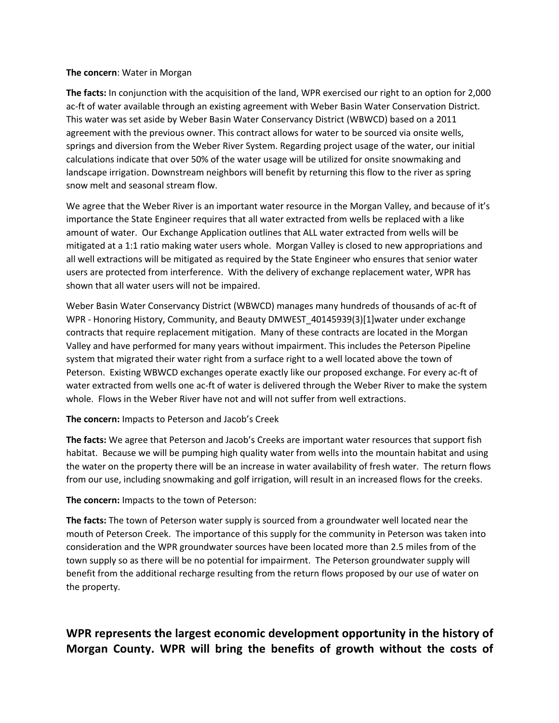## **The concern**: Water in Morgan

**The facts:** In conjunction with the acquisition of the land, WPR exercised our right to an option for 2,000 ac-ft of water available through an existing agreement with Weber Basin Water Conservation District. This water was set aside by Weber Basin Water Conservancy District (WBWCD) based on a 2011 agreement with the previous owner. This contract allows for water to be sourced via onsite wells, springs and diversion from the Weber River System. Regarding project usage of the water, our initial calculations indicate that over 50% of the water usage will be utilized for onsite snowmaking and landscape irrigation. Downstream neighbors will benefit by returning this flow to the river as spring snow melt and seasonal stream flow.

We agree that the Weber River is an important water resource in the Morgan Valley, and because of it's importance the State Engineer requires that all water extracted from wells be replaced with a like amount of water. Our Exchange Application outlines that ALL water extracted from wells will be mitigated at a 1:1 ratio making water users whole. Morgan Valley is closed to new appropriations and all well extractions will be mitigated as required by the State Engineer who ensures that senior water users are protected from interference. With the delivery of exchange replacement water, WPR has shown that all water users will not be impaired.

Weber Basin Water Conservancy District (WBWCD) manages many hundreds of thousands of ac-ft of WPR - Honoring History, Community, and Beauty DMWEST\_40145939(3)[1]water under exchange contracts that require replacement mitigation. Many of these contracts are located in the Morgan Valley and have performed for many years without impairment. This includes the Peterson Pipeline system that migrated their water right from a surface right to a well located above the town of Peterson. Existing WBWCD exchanges operate exactly like our proposed exchange. For every ac-ft of water extracted from wells one ac-ft of water is delivered through the Weber River to make the system whole. Flows in the Weber River have not and will not suffer from well extractions.

**The concern:** Impacts to Peterson and Jacob's Creek

**The facts:** We agree that Peterson and Jacob's Creeks are important water resources that support fish habitat. Because we will be pumping high quality water from wells into the mountain habitat and using the water on the property there will be an increase in water availability of fresh water. The return flows from our use, including snowmaking and golf irrigation, will result in an increased flows for the creeks.

**The concern:** Impacts to the town of Peterson:

**The facts:** The town of Peterson water supply is sourced from a groundwater well located near the mouth of Peterson Creek. The importance of this supply for the community in Peterson was taken into consideration and the WPR groundwater sources have been located more than 2.5 miles from of the town supply so as there will be no potential for impairment. The Peterson groundwater supply will benefit from the additional recharge resulting from the return flows proposed by our use of water on the property.

## **WPR represents the largest economic development opportunity in the history of Morgan County. WPR will bring the benefits of growth without the costs of**